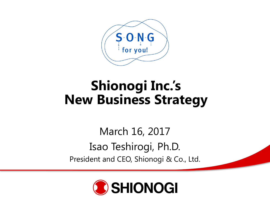

# **Shionogi Inc.'s New Business Strategy**

March 16, 2017 Isao Teshirogi, Ph.D. President and CEO, Shionogi & Co., Ltd.

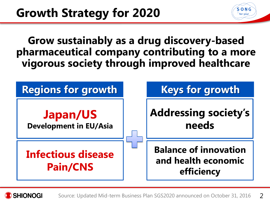**Grow sustainably as a drug discovery-based pharmaceutical company contributing to a more vigorous society through improved healthcare**

S-O-N-C for you!



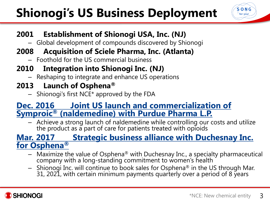# **Shionogi's US Business Deployment**



#### **2001 Establishment of Shionogi USA, Inc. (NJ)**

– Global development of compounds discovered by Shionogi

#### **2008 Acquisition of Sciele Pharma, Inc. (Atlanta)**

– Foothold for the US commercial business

#### **2010 Integration into Shionogi Inc. (NJ)**

– Reshaping to integrate and enhance US operations

#### **2013 Launch of Osphena®**

 $-$  Shionogi's first NCE\* approved by the FDA

#### **Dec. 2016 Joint US launch and commercialization of Symproic® (naldemedine) with Purdue Pharma L.P.**

– Achieve a strong launch of naldemedine while controlling our costs and utilize the product as a part of care for patients treated with opioids

#### **Mar. 2017 Strategic business alliance with Duchesnay Inc. for Osphena®**

- $-$  Maximize the value of Osphena® with Duchesnay Inc., a specialty pharmaceutical company with a long-standing commitment to women's health
- Shionogi Inc. will continue to book sales for Osphena<sup>®</sup> in the US through Mar. 31, 2021, with certain minimum payments quarterly over a period of 8 years

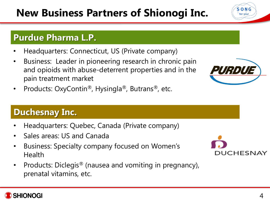# **New Business Partners of Shionogi Inc.**

#### **Purdue Pharma L.P.**

- Headquarters: Connecticut, US (Private company)
- Business: Leader in pioneering research in chronic pain and opioids with abuse-deterrent properties and in the pain treatment market
- Products: OxyContin®, Hysingla®, Butrans®, etc.

### **Duchesnay Inc.**

- Headquarters: Quebec, Canada (Private company)
- Sales areas: US and Canada
- Business: Specialty company focused on Women's Health
- Products: Diclegis<sup>®</sup> (nausea and vomiting in pregnancy), prenatal vitamins, etc.







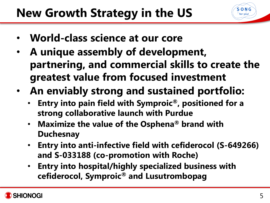- **World-class science at our core**
- **A unique assembly of development, partnering, and commercial skills to create the greatest value from focused investment**
- **An enviably strong and sustained portfolio:**
	- **Entry into pain field with Symproic®, positioned for a strong collaborative launch with Purdue**
	- **Maximize the value of the Osphena® brand with Duchesnay**
	- **Entry into anti-infective field with cefiderocol (S-649266) and S-033188 (co-promotion with Roche)**
	- **Entry into hospital/highly specialized business with cefiderocol, Symproic® and Lusutrombopag**



S-O-N-G for you!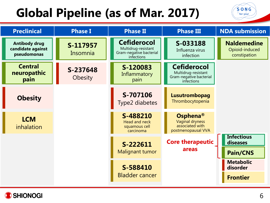# **Global Pipeline (as of Mar. 2017)**

| <b>Preclinical</b>                                       | <b>Phase I</b>       | <b>Phase II</b>                                                                    | <b>Phase III</b>                                                                   | <b>NDA submission</b>                                |
|----------------------------------------------------------|----------------------|------------------------------------------------------------------------------------|------------------------------------------------------------------------------------|------------------------------------------------------|
| <b>Antibody drug</b><br>candidate against<br>pseudomonas | S-117957<br>Insomnia | <b>Cefiderocol</b><br>Multidrug-resistant<br>Gram-negative bacterial<br>infections | S-033188<br>Influenza virus<br>infection                                           | <b>Naldemedine</b><br>Opioid-induced<br>constipation |
| <b>Central</b><br>neuropathic<br>pain                    | S-237648<br>Obesity  | S-120083<br>Inflammatory<br>pain                                                   | <b>Cefiderocol</b><br>Multidrug-resistant<br>Gram-negative bacterial<br>infections |                                                      |
| <b>Obesity</b>                                           |                      | S-707106<br>Type2 diabetes                                                         | Lusutrombopag<br>Thrombocytopenia                                                  |                                                      |
| <b>LCM</b><br>inhalation                                 |                      | S-488210<br>Head and neck<br>squamous cell<br>carcinoma                            | Osphena <sup>®</sup><br>Vaginal dryness<br>associated with<br>postmenopausal VVA   |                                                      |
|                                                          |                      | S-222611<br><b>Malignant tumor</b>                                                 | <b>Core therapeutic</b><br>areas                                                   | <b>Infectious</b><br>diseases<br><b>Pain/CNS</b>     |
|                                                          |                      | S-588410<br><b>Bladder cancer</b>                                                  |                                                                                    | <b>Metabolic</b><br>disorder<br><b>Frontier</b>      |



 $S$ -O-N-G for you!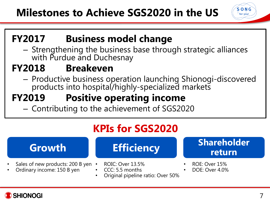#### $S$   $\cdot$   $O$   $\cdot$   $N$   $\cdot$   $G$ for you!

## **FY2017 Business model change**

– Strengthening the business base through strategic alliances with Purdue and Duchesnay

## **FY2018 Breakeven**

– Productive business operation launching Shionogi-discovered products into hospital/highly-specialized markets

# **FY2019 Positive operating income**

– Contributing to the achievement of SGS2020

# **KPIs for SGS2020**

- Sales of new products: 200 B yen •
- Ordinary income: 150 B yen



- ROIC: Over 13.5%
- CCC: 5.5 months
- Original pipeline ratio: Over 50%



- ROE: Over 15%
- DOE: Over 4.0%